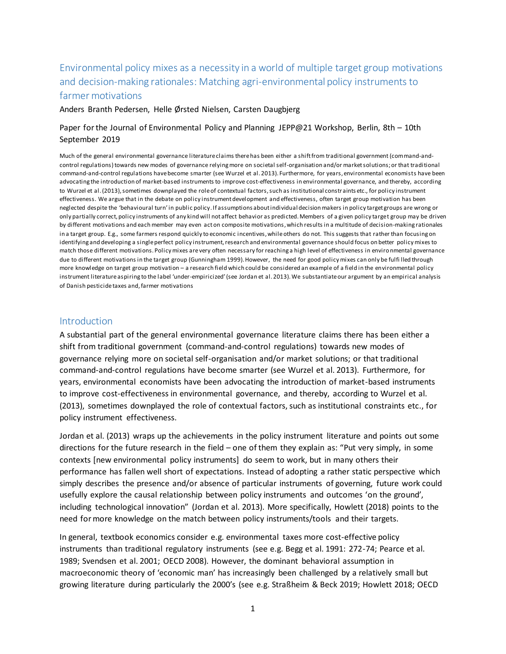# Environmental policy mixes as a necessity in a world of multiple target group motivations and decision-making rationales: Matching agri-environmental policy instruments to farmer motivations

Anders Branth Pedersen, Helle Ørsted Nielsen, Carsten Daugbjerg

## Paper for the Journal of Environmental Policy and Planning JEPP@21 Workshop, Berlin, 8th – 10th September 2019

Much of the general environmental governance literature claims there has been either a shift from traditional government (command-andcontrol regulations) towards new modes of governance relying more on societal self-organisation and/or market solutions; or that traditional command-and-control regulations have become smarter (see Wurzel et al. 2013). Furthermore, for years, environmental economists have been advocating the introduction of market-based instruments to improve cost-effectiveness in environmental governance, and thereby, according to Wurzel et al. (2013), sometimes downplayed the role of contextual factors, such as institutional constr aints etc., for policy instrument effectiveness. We argue that in the debate on policy instrument development and effectiveness, often target group motivation has been neglected despite the 'behavioural turn' in public policy. If assumptions about individual decision makers in policy target groups are wrong or only partially correct, policy instruments of any kind will not affect behavior as predicted. Members of a given policy target group may be driven by different motivations and each member may even act on composite motivations, which results in a multitude of decision-making rationales in a target group. E.g., some farmers respond quickly to economic incentives, while others do not. This suggests that rather than focusing on identifying and developing a single perfect policy instrument, research and environmental governance should focus on better policy mixes to match those different motivations. Policy mixes are very often necessary for reaching a high level of effectiveness in environmental governance due to different motivations in the target group (Gunningham 1999). However, the need for good policy mixes can only be fulfi lled through more knowledge on target group motivation – a research field which could be considered an example of a field in the environmental policy instrument literature aspiring to the label 'under-empiricized' (see Jordan et al. 2013). We substantiate our argument by an empirical analysis of Danish pesticide taxes and,farmer motivations

#### **Introduction**

A substantial part of the general environmental governance literature claims there has been either a shift from traditional government (command-and-control regulations) towards new modes of governance relying more on societal self-organisation and/or market solutions; or that traditional command-and-control regulations have become smarter (see Wurzel et al. 2013). Furthermore, for years, environmental economists have been advocating the introduction of market-based instruments to improve cost-effectiveness in environmental governance, and thereby, according to Wurzel et al. (2013), sometimes downplayed the role of contextual factors, such as institutional constraints etc., for policy instrument effectiveness.

Jordan et al. (2013) wraps up the achievements in the policy instrument literature and points out some directions for the future research in the field – one of them they explain as: "Put very simply, in some contexts [new environmental policy instruments] do seem to work, but in many others their performance has fallen well short of expectations. Instead of adopting a rather static perspective which simply describes the presence and/or absence of particular instruments of governing, future work could usefully explore the causal relationship between policy instruments and outcomes 'on the ground', including technological innovation" (Jordan et al. 2013). More specifically, Howlett (2018) points to the need for more knowledge on the match between policy instruments/tools and their targets.

In general, textbook economics consider e.g. environmental taxes more cost-effective policy instruments than traditional regulatory instruments (see e.g. Begg et al. 1991: 272-74; Pearce et al. 1989; Svendsen et al. 2001; OECD 2008). However, the dominant behavioral assumption in macroeconomic theory of 'economic man' has increasingly been challenged by a relatively small but growing literature during particularly the 2000's (see e.g. Straßheim & Beck 2019; Howlett 2018; OECD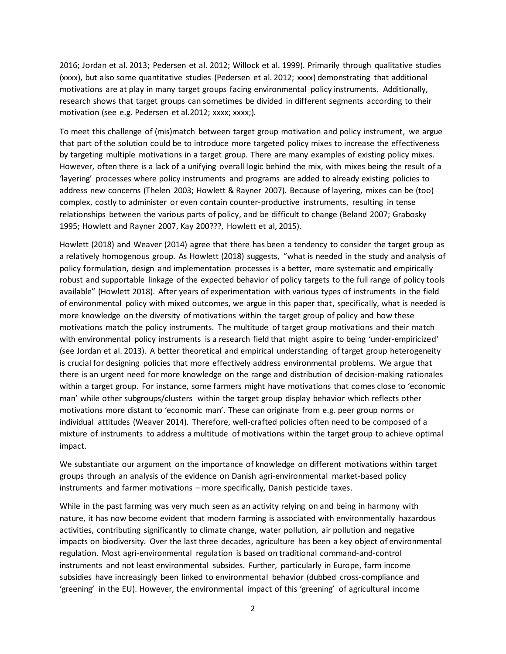2016; Jordan et al. 2013; Pedersen et al. 2012; Willock et al. 1999). Primarily through qualitative studies (xxxx), but also some quantitative studies (Pedersen et al. 2012; xxxx) demonstrating that additional motivations are at play in many target groups facing environmental policy instruments. Additionally, research shows that target groups can sometimes be divided in different segments according to their motivation (see e.g. Pedersen et al.2012; xxxx; xxxx;).

To meet this challenge of (mis)match between target group motivation and policy instrument, we argue that part of the solution could be to introduce more targeted policy mixes to increase the effectiveness by targeting multiple motivations in a target group. There are many examples of existing policy mixes. However, often there is a lack of a unifying overall logic behind the mix, with mixes being the result of a 'layering' processes where policy instruments and programs are added to already existing policies to address new concerns (Thelen 2003; Howlett & Rayner 2007). Because of layering, mixes can be (too) complex, costly to administer or even contain counter-productive instruments, resulting in tense relationships between the various parts of policy, and be difficult to change (Beland 2007; Grabosky 1995; Howlett and Rayner 2007, Kay 200???, Howlett et al, 2015).

Howlett (2018) and Weaver (2014) agree that there has been a tendency to consider the target group as a relatively homogenous group. As Howlett (2018) suggests, "what is needed in the study and analysis of policy formulation, design and implementation processes is a better, more systematic and empirically robust and supportable linkage of the expected behavior of policy targets to the full range of policy tools available" (Howlett 2018). After years of experimentation with various types of instruments in the field of environmental policy with mixed outcomes, we argue in this paper that, specifically, what is needed is more knowledge on the diversity of motivations within the target group of policy and how these motivations match the policy instruments. The multitude of target group motivations and their match with environmental policy instruments is a research field that might aspire to being 'under-empiricized' (see Jordan et al. 2013). A better theoretical and empirical understanding of target group heterogeneity is crucial for designing policies that more effectively address environmental problems. We argue that there is an urgent need for more knowledge on the range and distribution of decision-making rationales within a target group. For instance, some farmers might have motivations that comes close to 'economic man' while other subgroups/clusters within the target group display behavior which reflects other motivations more distant to 'economic man'. These can originate from e.g. peer group norms or individual attitudes (Weaver 2014). Therefore, well-crafted policies often need to be composed of a mixture of instruments to address a multitude of motivations within the target group to achieve optimal impact.

We substantiate our argument on the importance of knowledge on different motivations within target groups through an analysis of the evidence on Danish agri-environmental market-based policy instruments and farmer motivations – more specifically, Danish pesticide taxes.

While in the past farming was very much seen as an activity relying on and being in harmony with nature, it has now become evident that modern farming is associated with environmentally hazardous activities, contributing significantly to climate change, water pollution, air pollution and negative impacts on biodiversity. Over the last three decades, agriculture has been a key object of environmental regulation. Most agri-environmental regulation is based on traditional command-and-control instruments and not least environmental subsides. Further, particularly in Europe, farm income subsidies have increasingly been linked to environmental behavior (dubbed cross-compliance and 'greening' in the EU). However, the environmental impact of this 'greening' of agricultural income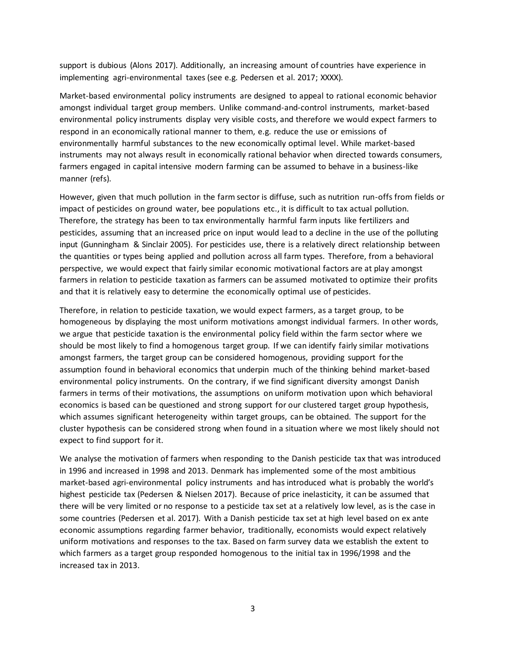support is dubious (Alons 2017). Additionally, an increasing amount of countries have experience in implementing agri-environmental taxes (see e.g. Pedersen et al. 2017; XXXX).

Market-based environmental policy instruments are designed to appeal to rational economic behavior amongst individual target group members. Unlike command-and-control instruments, market-based environmental policy instruments display very visible costs, and therefore we would expect farmers to respond in an economically rational manner to them, e.g. reduce the use or emissions of environmentally harmful substances to the new economically optimal level. While market-based instruments may not always result in economically rational behavior when directed towards consumers, farmers engaged in capital intensive modern farming can be assumed to behave in a business-like manner (refs).

However, given that much pollution in the farm sector is diffuse, such as nutrition run-offs from fields or impact of pesticides on ground water, bee populations etc., it is difficult to tax actual pollution. Therefore, the strategy has been to tax environmentally harmful farm inputs like fertilizers and pesticides, assuming that an increased price on input would lead to a decline in the use of the polluting input (Gunningham & Sinclair 2005). For pesticides use, there is a relatively direct relationship between the quantities or types being applied and pollution across all farm types. Therefore, from a behavioral perspective, we would expect that fairly similar economic motivational factors are at play amongst farmers in relation to pesticide taxation as farmers can be assumed motivated to optimize their profits and that it is relatively easy to determine the economically optimal use of pesticides.

Therefore, in relation to pesticide taxation, we would expect farmers, as a target group, to be homogeneous by displaying the most uniform motivations amongst individual farmers. In other words, we argue that pesticide taxation is the environmental policy field within the farm sector where we should be most likely to find a homogenous target group. If we can identify fairly similar motivations amongst farmers, the target group can be considered homogenous, providing support for the assumption found in behavioral economics that underpin much of the thinking behind market-based environmental policy instruments. On the contrary, if we find significant diversity amongst Danish farmers in terms of their motivations, the assumptions on uniform motivation upon which behavioral economics is based can be questioned and strong support for our clustered target group hypothesis, which assumes significant heterogeneity within target groups, can be obtained. The support for the cluster hypothesis can be considered strong when found in a situation where we most likely should not expect to find support for it.

We analyse the motivation of farmers when responding to the Danish pesticide tax that was introduced in 1996 and increased in 1998 and 2013. Denmark has implemented some of the most ambitious market-based agri-environmental policy instruments and has introduced what is probably the world's highest pesticide tax (Pedersen & Nielsen 2017). Because of price inelasticity, it can be assumed that there will be very limited or no response to a pesticide tax set at a relatively low level, as is the case in some countries (Pedersen et al. 2017). With a Danish pesticide tax set at high level based on ex ante economic assumptions regarding farmer behavior, traditionally, economists would expect relatively uniform motivations and responses to the tax. Based on farm survey data we establish the extent to which farmers as a target group responded homogenous to the initial tax in 1996/1998 and the increased tax in 2013.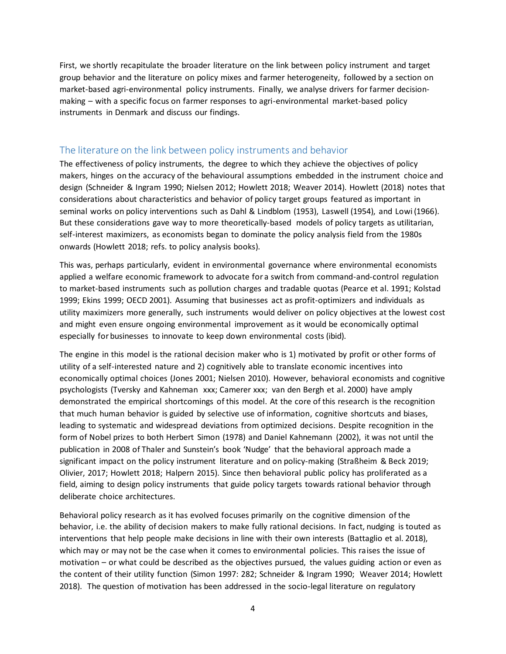First, we shortly recapitulate the broader literature on the link between policy instrument and target group behavior and the literature on policy mixes and farmer heterogeneity, followed by a section on market-based agri-environmental policy instruments. Finally, we analyse drivers for farmer decisionmaking – with a specific focus on farmer responses to agri-environmental market-based policy instruments in Denmark and discuss our findings.

## The literature on the link between policy instruments and behavior

The effectiveness of policy instruments, the degree to which they achieve the objectives of policy makers, hinges on the accuracy of the behavioural assumptions embedded in the instrument choice and design (Schneider & Ingram 1990; Nielsen 2012; Howlett 2018; Weaver 2014). Howlett (2018) notes that considerations about characteristics and behavior of policy target groups featured as important in seminal works on policy interventions such as Dahl & Lindblom (1953), Laswell (1954), and Lowi (1966). But these considerations gave way to more theoretically-based models of policy targets as utilitarian, self-interest maximizers, as economists began to dominate the policy analysis field from the 1980s onwards (Howlett 2018; refs. to policy analysis books).

This was, perhaps particularly, evident in environmental governance where environmental economists applied a welfare economic framework to advocate for a switch from command-and-control regulation to market-based instruments such as pollution charges and tradable quotas (Pearce et al. 1991; Kolstad 1999; Ekins 1999; OECD 2001). Assuming that businesses act as profit-optimizers and individuals as utility maximizers more generally, such instruments would deliver on policy objectives at the lowest cost and might even ensure ongoing environmental improvement as it would be economically optimal especially for businesses to innovate to keep down environmental costs (ibid).

The engine in this model is the rational decision maker who is 1) motivated by profit or other forms of utility of a self-interested nature and 2) cognitively able to translate economic incentives into economically optimal choices (Jones 2001; Nielsen 2010). However, behavioral economists and cognitive psychologists (Tversky and Kahneman xxx; Camerer xxx; van den Bergh et al. 2000) have amply demonstrated the empirical shortcomings of this model. At the core of this research is the recognition that much human behavior is guided by selective use of information, cognitive shortcuts and biases, leading to systematic and widespread deviations from optimized decisions. Despite recognition in the form of Nobel prizes to both Herbert Simon (1978) and Daniel Kahnemann (2002), it was not until the publication in 2008 of Thaler and Sunstein's book 'Nudge' that the behavioral approach made a significant impact on the policy instrument literature and on policy-making (Straßheim & Beck 2019; Olivier, 2017; Howlett 2018; Halpern 2015). Since then behavioral public policy has proliferated as a field, aiming to design policy instruments that guide policy targets towards rational behavior through deliberate choice architectures.

Behavioral policy research as it has evolved focuses primarily on the cognitive dimension of the behavior, i.e. the ability of decision makers to make fully rational decisions. In fact, nudging is touted as interventions that help people make decisions in line with their own interests (Battaglio et al. 2018), which may or may not be the case when it comes to environmental policies. This raises the issue of motivation – or what could be described as the objectives pursued, the values guiding action or even as the content of their utility function (Simon 1997: 282; Schneider & Ingram 1990; Weaver 2014; Howlett 2018). The question of motivation has been addressed in the socio-legal literature on regulatory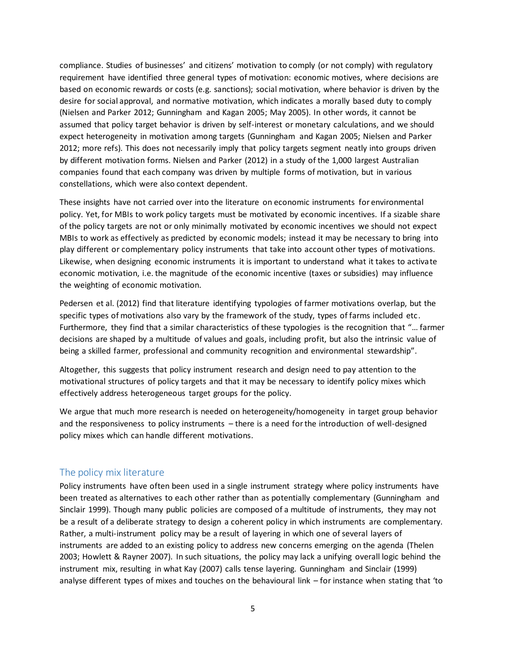compliance. Studies of businesses' and citizens' motivation to comply (or not comply) with regulatory requirement have identified three general types of motivation: economic motives, where decisions are based on economic rewards or costs (e.g. sanctions); social motivation, where behavior is driven by the desire for social approval, and normative motivation, which indicates a morally based duty to comply (Nielsen and Parker 2012; Gunningham and Kagan 2005; May 2005). In other words, it cannot be assumed that policy target behavior is driven by self-interest or monetary calculations, and we should expect heterogeneity in motivation among targets (Gunningham and Kagan 2005; Nielsen and Parker 2012; more refs). This does not necessarily imply that policy targets segment neatly into groups driven by different motivation forms. Nielsen and Parker (2012) in a study of the 1,000 largest Australian companies found that each company was driven by multiple forms of motivation, but in various constellations, which were also context dependent.

These insights have not carried over into the literature on economic instruments for environmental policy. Yet, for MBIs to work policy targets must be motivated by economic incentives. If a sizable share of the policy targets are not or only minimally motivated by economic incentives we should not expect MBIs to work as effectively as predicted by economic models; instead it may be necessary to bring into play different or complementary policy instruments that take into account other types of motivations. Likewise, when designing economic instruments it is important to understand what it takes to activate economic motivation, i.e. the magnitude of the economic incentive (taxes or subsidies) may influence the weighting of economic motivation.

Pedersen et al. (2012) find that literature identifying typologies of farmer motivations overlap, but the specific types of motivations also vary by the framework of the study, types of farms included etc. Furthermore, they find that a similar characteristics of these typologies is the recognition that "… farmer decisions are shaped by a multitude of values and goals, including profit, but also the intrinsic value of being a skilled farmer, professional and community recognition and environmental stewardship".

Altogether, this suggests that policy instrument research and design need to pay attention to the motivational structures of policy targets and that it may be necessary to identify policy mixes which effectively address heterogeneous target groups for the policy.

We argue that much more research is needed on heterogeneity/homogeneity in target group behavior and the responsiveness to policy instruments – there is a need for the introduction of well-designed policy mixes which can handle different motivations.

## The policy mix literature

Policy instruments have often been used in a single instrument strategy where policy instruments have been treated as alternatives to each other rather than as potentially complementary (Gunningham and Sinclair 1999). Though many public policies are composed of a multitude of instruments, they may not be a result of a deliberate strategy to design a coherent policy in which instruments are complementary. Rather, a multi-instrument policy may be a result of layering in which one of several layers of instruments are added to an existing policy to address new concerns emerging on the agenda (Thelen 2003; Howlett & Rayner 2007). In such situations, the policy may lack a unifying overall logic behind the instrument mix, resulting in what Kay (2007) calls tense layering. Gunningham and Sinclair (1999) analyse different types of mixes and touches on the behavioural link – for instance when stating that 'to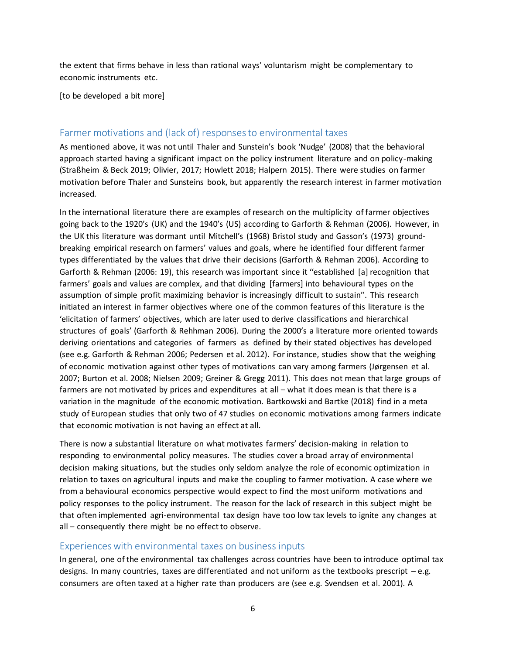the extent that firms behave in less than rational ways' voluntarism might be complementary to economic instruments etc.

[to be developed a bit more]

### Farmer motivations and (lack of) responses to environmental taxes

As mentioned above, it was not until Thaler and Sunstein's book 'Nudge' (2008) that the behavioral approach started having a significant impact on the policy instrument literature and on policy-making (Straßheim & Beck 2019; Olivier, 2017; Howlett 2018; Halpern 2015). There were studies on farmer motivation before Thaler and Sunsteins book, but apparently the research interest in farmer motivation increased.

In the international literature there are examples of research on the multiplicity of farmer objectives going back to the 1920's (UK) and the 1940's (US) according to Garforth & Rehman (2006). However, in the UK this literature was dormant until Mitchell's (1968) Bristol study and Gasson's (1973) groundbreaking empirical research on farmers' values and goals, where he identified four different farmer types differentiated by the values that drive their decisions (Garforth & Rehman 2006). According to Garforth & Rehman (2006: 19), this research was important since it ''established [a] recognition that farmers' goals and values are complex, and that dividing [farmers] into behavioural types on the assumption of simple profit maximizing behavior is increasingly difficult to sustain''. This research initiated an interest in farmer objectives where one of the common features of this literature is the 'elicitation of farmers' objectives, which are later used to derive classifications and hierarchical structures of goals' (Garforth & Rehhman 2006). During the 2000's a literature more oriented towards deriving orientations and categories of farmers as defined by their stated objectives has developed (see e.g. Garforth & Rehman 2006; Pedersen et al. 2012). For instance, studies show that the weighing of economic motivation against other types of motivations can vary among farmers (Jørgensen et al. 2007; Burton et al. 2008; Nielsen 2009; Greiner & Gregg 2011). This does not mean that large groups of farmers are not motivated by prices and expenditures at all – what it does mean is that there is a variation in the magnitude of the economic motivation. Bartkowski and Bartke (2018) find in a meta study of European studies that only two of 47 studies on economic motivations among farmers indicate that economic motivation is not having an effect at all.

There is now a substantial literature on what motivates farmers' decision-making in relation to responding to environmental policy measures. The studies cover a broad array of environmental decision making situations, but the studies only seldom analyze the role of economic optimization in relation to taxes on agricultural inputs and make the coupling to farmer motivation. A case where we from a behavioural economics perspective would expect to find the most uniform motivations and policy responses to the policy instrument. The reason for the lack of research in this subject might be that often implemented agri-environmental tax design have too low tax levels to ignite any changes at all – consequently there might be no effect to observe.

### Experiences with environmental taxes on business inputs

In general, one of the environmental tax challenges across countries have been to introduce optimal tax designs. In many countries, taxes are differentiated and not uniform as the textbooks prescript – e.g. consumers are often taxed at a higher rate than producers are (see e.g. Svendsen et al. 2001). A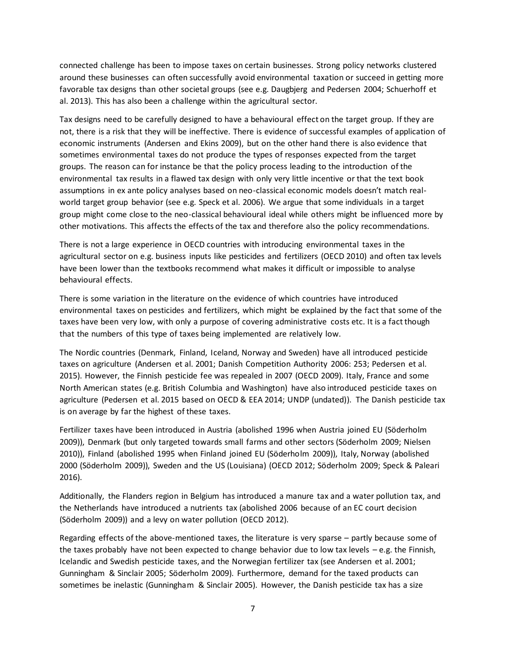connected challenge has been to impose taxes on certain businesses. Strong policy networks clustered around these businesses can often successfully avoid environmental taxation or succeed in getting more favorable tax designs than other societal groups (see e.g. Daugbjerg and Pedersen 2004; Schuerhoff et al. 2013). This has also been a challenge within the agricultural sector.

Tax designs need to be carefully designed to have a behavioural effect on the target group. If they are not, there is a risk that they will be ineffective. There is evidence of successful examples of application of economic instruments (Andersen and Ekins 2009), but on the other hand there is also evidence that sometimes environmental taxes do not produce the types of responses expected from the target groups. The reason can for instance be that the policy process leading to the introduction of the environmental tax results in a flawed tax design with only very little incentive or that the text book assumptions in ex ante policy analyses based on neo-classical economic models doesn't match realworld target group behavior (see e.g. Speck et al. 2006). We argue that some individuals in a target group might come close to the neo-classical behavioural ideal while others might be influenced more by other motivations. This affects the effects of the tax and therefore also the policy recommendations.

There is not a large experience in OECD countries with introducing environmental taxes in the agricultural sector on e.g. business inputs like pesticides and fertilizers (OECD 2010) and often tax levels have been lower than the textbooks recommend what makes it difficult or impossible to analyse behavioural effects.

There is some variation in the literature on the evidence of which countries have introduced environmental taxes on pesticides and fertilizers, which might be explained by the fact that some of the taxes have been very low, with only a purpose of covering administrative costs etc. It is a fact though that the numbers of this type of taxes being implemented are relatively low.

The Nordic countries (Denmark, Finland, Iceland, Norway and Sweden) have all introduced pesticide taxes on agriculture (Andersen et al. 2001; Danish Competition Authority 2006: 253; Pedersen et al. 2015). However, the Finnish pesticide fee was repealed in 2007 (OECD 2009). Italy, France and some North American states (e.g. British Columbia and Washington) have also introduced pesticide taxes on agriculture (Pedersen et al. 2015 based on OECD & EEA 2014; UNDP (undated)). The Danish pesticide tax is on average by far the highest of these taxes.

Fertilizer taxes have been introduced in Austria (abolished 1996 when Austria joined EU (Söderholm 2009)), Denmark (but only targeted towards small farms and other sectors (Söderholm 2009; Nielsen 2010)), Finland (abolished 1995 when Finland joined EU (Söderholm 2009)), Italy, Norway (abolished 2000 (Söderholm 2009)), Sweden and the US (Louisiana) (OECD 2012; Söderholm 2009; Speck & Paleari 2016).

Additionally, the Flanders region in Belgium has introduced a manure tax and a water pollution tax, and the Netherlands have introduced a nutrients tax (abolished 2006 because of an EC court decision (Söderholm 2009)) and a levy on water pollution (OECD 2012).

Regarding effects of the above-mentioned taxes, the literature is very sparse – partly because some of the taxes probably have not been expected to change behavior due to low tax levels – e.g. the Finnish, Icelandic and Swedish pesticide taxes, and the Norwegian fertilizer tax (see Andersen et al. 2001; Gunningham & Sinclair 2005; Söderholm 2009). Furthermore, demand for the taxed products can sometimes be inelastic (Gunningham & Sinclair 2005). However, the Danish pesticide tax has a size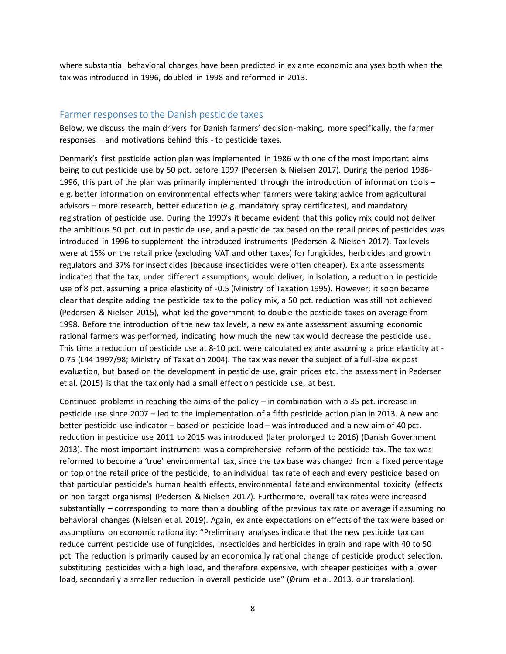where substantial behavioral changes have been predicted in ex ante economic analyses both when the tax was introduced in 1996, doubled in 1998 and reformed in 2013.

#### Farmer responses to the Danish pesticide taxes

Below, we discuss the main drivers for Danish farmers' decision-making, more specifically, the farmer responses – and motivations behind this - to pesticide taxes.

Denmark's first pesticide action plan was implemented in 1986 with one of the most important aims being to cut pesticide use by 50 pct. before 1997 (Pedersen & Nielsen 2017). During the period 1986- 1996, this part of the plan was primarily implemented through the introduction of information tools – e.g. better information on environmental effects when farmers were taking advice from agricultural advisors – more research, better education (e.g. mandatory spray certificates), and mandatory registration of pesticide use. During the 1990's it became evident that this policy mix could not deliver the ambitious 50 pct. cut in pesticide use, and a pesticide tax based on the retail prices of pesticides was introduced in 1996 to supplement the introduced instruments (Pedersen & Nielsen 2017). Tax levels were at 15% on the retail price (excluding VAT and other taxes) for fungicides, herbicides and growth regulators and 37% for insecticides (because insecticides were often cheaper). Ex ante assessments indicated that the tax, under different assumptions, would deliver, in isolation, a reduction in pesticide use of 8 pct. assuming a price elasticity of -0.5 (Ministry of Taxation 1995). However, it soon became clear that despite adding the pesticide tax to the policy mix, a 50 pct. reduction was still not achieved (Pedersen & Nielsen 2015), what led the government to double the pesticide taxes on average from 1998. Before the introduction of the new tax levels, a new ex ante assessment assuming economic rational farmers was performed, indicating how much the new tax would decrease the pesticide use. This time a reduction of pesticide use at 8-10 pct. were calculated ex ante assuming a price elasticity at - 0.75 (L44 1997/98; Ministry of Taxation 2004). The tax was never the subject of a full-size ex post evaluation, but based on the development in pesticide use, grain prices etc. the assessment in Pedersen et al. (2015) is that the tax only had a small effect on pesticide use, at best.

Continued problems in reaching the aims of the policy – in combination with a 35 pct. increase in pesticide use since 2007 – led to the implementation of a fifth pesticide action plan in 2013. A new and better pesticide use indicator – based on pesticide load – was introduced and a new aim of 40 pct. reduction in pesticide use 2011 to 2015 was introduced (later prolonged to 2016) (Danish Government 2013). The most important instrument was a comprehensive reform of the pesticide tax. The tax was reformed to become a 'true' environmental tax, since the tax base was changed from a fixed percentage on top of the retail price of the pesticide, to an individual tax rate of each and every pesticide based on that particular pesticide's human health effects, environmental fate and environmental toxicity (effects on non-target organisms) (Pedersen & Nielsen 2017). Furthermore, overall tax rates were increased substantially – corresponding to more than a doubling of the previous tax rate on average if assuming no behavioral changes (Nielsen et al. 2019). Again, ex ante expectations on effects of the tax were based on assumptions on economic rationality: "Preliminary analyses indicate that the new pesticide tax can reduce current pesticide use of fungicides, insecticides and herbicides in grain and rape with 40 to 50 pct. The reduction is primarily caused by an economically rational change of pesticide product selection, substituting pesticides with a high load, and therefore expensive, with cheaper pesticides with a lower load, secondarily a smaller reduction in overall pesticide use" (Ørum et al. 2013, our translation).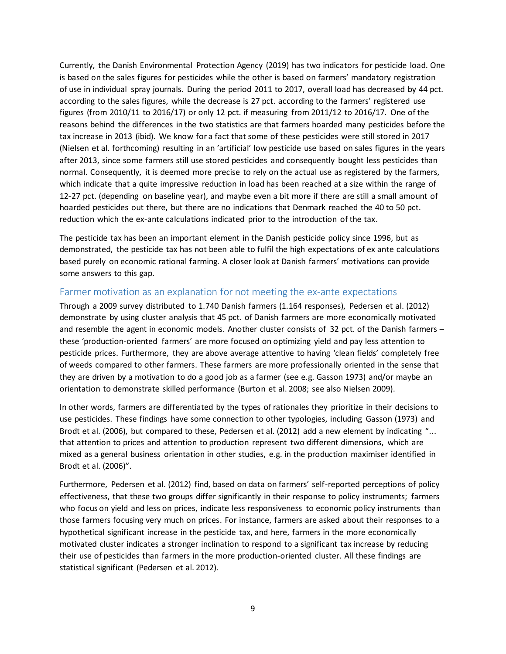Currently, the Danish Environmental Protection Agency (2019) has two indicators for pesticide load. One is based on the sales figures for pesticides while the other is based on farmers' mandatory registration of use in individual spray journals. During the period 2011 to 2017, overall load has decreased by 44 pct. according to the sales figures, while the decrease is 27 pct. according to the farmers' registered use figures (from 2010/11 to 2016/17) or only 12 pct. if measuring from 2011/12 to 2016/17. One of the reasons behind the differences in the two statistics are that farmers hoarded many pesticides before the tax increase in 2013 (ibid). We know for a fact that some of these pesticides were still stored in 2017 (Nielsen et al. forthcoming) resulting in an 'artificial' low pesticide use based on sales figures in the years after 2013, since some farmers still use stored pesticides and consequently bought less pesticides than normal. Consequently, it is deemed more precise to rely on the actual use as registered by the farmers, which indicate that a quite impressive reduction in load has been reached at a size within the range of 12-27 pct. (depending on baseline year), and maybe even a bit more if there are still a small amount of hoarded pesticides out there, but there are no indications that Denmark reached the 40 to 50 pct. reduction which the ex-ante calculations indicated prior to the introduction of the tax.

The pesticide tax has been an important element in the Danish pesticide policy since 1996, but as demonstrated, the pesticide tax has not been able to fulfil the high expectations of ex ante calculations based purely on economic rational farming. A closer look at Danish farmers' motivations can provide some answers to this gap.

## Farmer motivation as an explanation for not meeting the ex-ante expectations

Through a 2009 survey distributed to 1.740 Danish farmers (1.164 responses), Pedersen et al. (2012) demonstrate by using cluster analysis that 45 pct. of Danish farmers are more economically motivated and resemble the agent in economic models. Another cluster consists of 32 pct. of the Danish farmers – these 'production-oriented farmers' are more focused on optimizing yield and pay less attention to pesticide prices. Furthermore, they are above average attentive to having 'clean fields' completely free of weeds compared to other farmers. These farmers are more professionally oriented in the sense that they are driven by a motivation to do a good job as a farmer (see e.g. Gasson 1973) and/or maybe an orientation to demonstrate skilled performance (Burton et al. 2008; see also Nielsen 2009).

In other words, farmers are differentiated by the types of rationales they prioritize in their decisions to use pesticides. These findings have some connection to other typologies, including Gasson (1973) and Brodt et al. (2006), but compared to these, Pedersen et al. (2012) add a new element by indicating "... that attention to prices and attention to production represent two different dimensions, which are mixed as a general business orientation in other studies, e.g. in the production maximiser identified in Brodt et al. (2006)".

Furthermore, Pedersen et al. (2012) find, based on data on farmers' self-reported perceptions of policy effectiveness, that these two groups differ significantly in their response to policy instruments; farmers who focus on yield and less on prices, indicate less responsiveness to economic policy instruments than those farmers focusing very much on prices. For instance, farmers are asked about their responses to a hypothetical significant increase in the pesticide tax, and here, farmers in the more economically motivated cluster indicates a stronger inclination to respond to a significant tax increase by reducing their use of pesticides than farmers in the more production-oriented cluster. All these findings are statistical significant (Pedersen et al. 2012).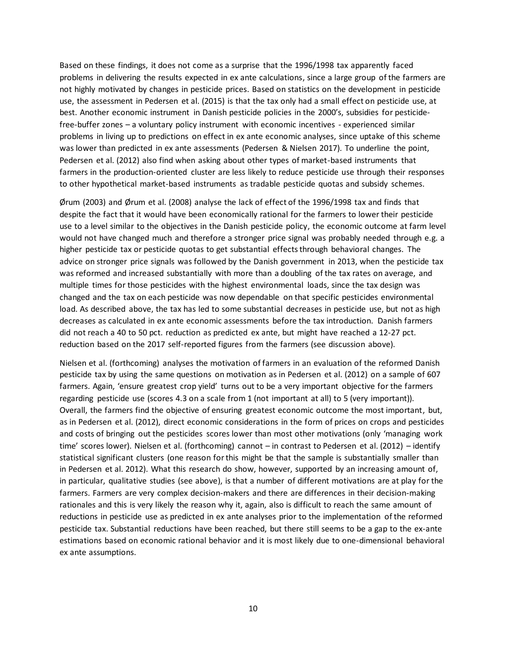Based on these findings, it does not come as a surprise that the 1996/1998 tax apparently faced problems in delivering the results expected in ex ante calculations, since a large group of the farmers are not highly motivated by changes in pesticide prices. Based on statistics on the development in pesticide use, the assessment in Pedersen et al. (2015) is that the tax only had a small effect on pesticide use, at best. Another economic instrument in Danish pesticide policies in the 2000's, subsidies for pesticidefree-buffer zones – a voluntary policy instrument with economic incentives - experienced similar problems in living up to predictions on effect in ex ante economic analyses, since uptake of this scheme was lower than predicted in ex ante assessments (Pedersen & Nielsen 2017). To underline the point, Pedersen et al. (2012) also find when asking about other types of market-based instruments that farmers in the production-oriented cluster are less likely to reduce pesticide use through their responses to other hypothetical market-based instruments as tradable pesticide quotas and subsidy schemes.

Ørum (2003) and Ørum et al. (2008) analyse the lack of effect of the 1996/1998 tax and finds that despite the fact that it would have been economically rational for the farmers to lower their pesticide use to a level similar to the objectives in the Danish pesticide policy, the economic outcome at farm level would not have changed much and therefore a stronger price signal was probably needed through e.g. a higher pesticide tax or pesticide quotas to get substantial effects through behavioral changes. The advice on stronger price signals was followed by the Danish government in 2013, when the pesticide tax was reformed and increased substantially with more than a doubling of the tax rates on average, and multiple times for those pesticides with the highest environmental loads, since the tax design was changed and the tax on each pesticide was now dependable on that specific pesticides environmental load. As described above, the tax has led to some substantial decreases in pesticide use, but not as high decreases as calculated in ex ante economic assessments before the tax introduction. Danish farmers did not reach a 40 to 50 pct. reduction as predicted ex ante, but might have reached a 12-27 pct. reduction based on the 2017 self-reported figures from the farmers (see discussion above).

Nielsen et al. (forthcoming) analyses the motivation of farmers in an evaluation of the reformed Danish pesticide tax by using the same questions on motivation as in Pedersen et al. (2012) on a sample of 607 farmers. Again, 'ensure greatest crop yield' turns out to be a very important objective for the farmers regarding pesticide use (scores 4.3 on a scale from 1 (not important at all) to 5 (very important)). Overall, the farmers find the objective of ensuring greatest economic outcome the most important, but, as in Pedersen et al. (2012), direct economic considerations in the form of prices on crops and pesticides and costs of bringing out the pesticides scores lower than most other motivations (only 'managing work time' scores lower). Nielsen et al. (forthcoming) cannot – in contrast to Pedersen et al. (2012) – identify statistical significant clusters (one reason for this might be that the sample is substantially smaller than in Pedersen et al. 2012). What this research do show, however, supported by an increasing amount of, in particular, qualitative studies (see above), is that a number of different motivations are at play for the farmers. Farmers are very complex decision-makers and there are differences in their decision-making rationales and this is very likely the reason why it, again, also is difficult to reach the same amount of reductions in pesticide use as predicted in ex ante analyses prior to the implementation of the reformed pesticide tax. Substantial reductions have been reached, but there still seems to be a gap to the ex-ante estimations based on economic rational behavior and it is most likely due to one-dimensional behavioral ex ante assumptions.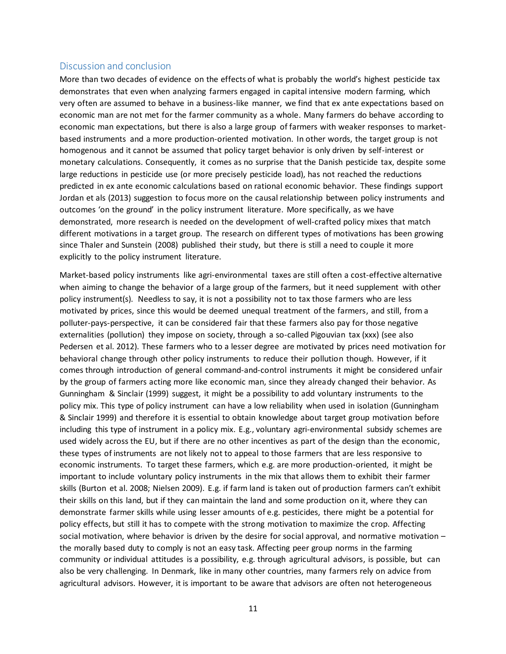## Discussion and conclusion

More than two decades of evidence on the effects of what is probably the world's highest pesticide tax demonstrates that even when analyzing farmers engaged in capital intensive modern farming, which very often are assumed to behave in a business-like manner, we find that ex ante expectations based on economic man are not met for the farmer community as a whole. Many farmers do behave according to economic man expectations, but there is also a large group of farmers with weaker responses to marketbased instruments and a more production-oriented motivation. In other words, the target group is not homogenous and it cannot be assumed that policy target behavior is only driven by self-interest or monetary calculations. Consequently, it comes as no surprise that the Danish pesticide tax, despite some large reductions in pesticide use (or more precisely pesticide load), has not reached the reductions predicted in ex ante economic calculations based on rational economic behavior. These findings support Jordan et als (2013) suggestion to focus more on the causal relationship between policy instruments and outcomes 'on the ground' in the policy instrument literature. More specifically, as we have demonstrated, more research is needed on the development of well-crafted policy mixes that match different motivations in a target group. The research on different types of motivations has been growing since Thaler and Sunstein (2008) published their study, but there is still a need to couple it more explicitly to the policy instrument literature.

Market-based policy instruments like agri-environmental taxes are still often a cost-effective alternative when aiming to change the behavior of a large group of the farmers, but it need supplement with other policy instrument(s). Needless to say, it is not a possibility not to tax those farmers who are less motivated by prices, since this would be deemed unequal treatment of the farmers, and still, from a polluter-pays-perspective, it can be considered fair that these farmers also pay for those negative externalities (pollution) they impose on society, through a so-called Pigouvian tax (xxx) (see also Pedersen et al. 2012). These farmers who to a lesser degree are motivated by prices need motivation for behavioral change through other policy instruments to reduce their pollution though. However, if it comes through introduction of general command-and-control instruments it might be considered unfair by the group of farmers acting more like economic man, since they already changed their behavior. As Gunningham & Sinclair (1999) suggest, it might be a possibility to add voluntary instruments to the policy mix. This type of policy instrument can have a low reliability when used in isolation (Gunningham & Sinclair 1999) and therefore it is essential to obtain knowledge about target group motivation before including this type of instrument in a policy mix. E.g., voluntary agri-environmental subsidy schemes are used widely across the EU, but if there are no other incentives as part of the design than the economic, these types of instruments are not likely not to appeal to those farmers that are less responsive to economic instruments. To target these farmers, which e.g. are more production-oriented, it might be important to include voluntary policy instruments in the mix that allows them to exhibit their farmer skills (Burton et al. 2008; Nielsen 2009). E.g. if farm land is taken out of production farmers can't exhibit their skills on this land, but if they can maintain the land and some production on it, where they can demonstrate farmer skills while using lesser amounts of e.g. pesticides, there might be a potential for policy effects, but still it has to compete with the strong motivation to maximize the crop. Affecting social motivation, where behavior is driven by the desire for social approval, and normative motivation – the morally based duty to comply is not an easy task. Affecting peer group norms in the farming community or individual attitudes is a possibility, e.g. through agricultural advisors, is possible, but can also be very challenging. In Denmark, like in many other countries, many farmers rely on advice from agricultural advisors. However, it is important to be aware that advisors are often not heterogeneous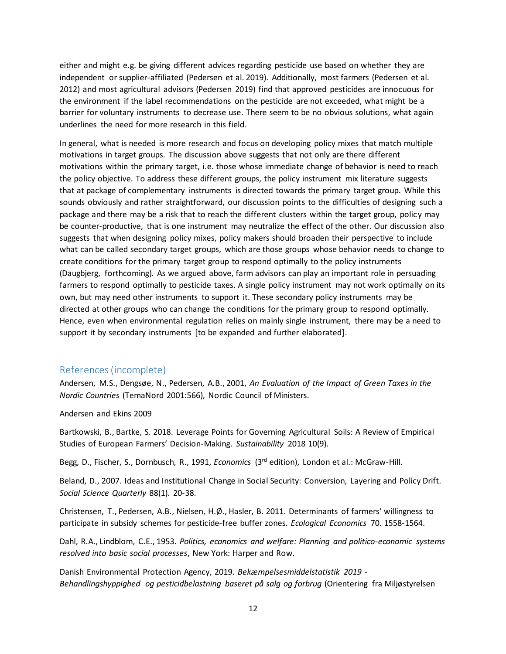either and might e.g. be giving different advices regarding pesticide use based on whether they are independent or supplier-affiliated (Pedersen et al. 2019). Additionally, most farmers (Pedersen et al. 2012) and most agricultural advisors (Pedersen 2019) find that approved pesticides are innocuous for the environment if the label recommendations on the pesticide are not exceeded, what might be a barrier for voluntary instruments to decrease use. There seem to be no obvious solutions, what again underlines the need for more research in this field.

In general, what is needed is more research and focus on developing policy mixes that match multiple motivations in target groups. The discussion above suggests that not only are there different motivations within the primary target, i.e. those whose immediate change of behavior is need to reach the policy objective. To address these different groups, the policy instrument mix literature suggests that at package of complementary instruments is directed towards the primary target group. While this sounds obviously and rather straightforward, our discussion points to the difficulties of designing such a package and there may be a risk that to reach the different clusters within the target group, policy may be counter-productive, that is one instrument may neutralize the effect of the other. Our discussion also suggests that when designing policy mixes, policy makers should broaden their perspective to include what can be called secondary target groups, which are those groups whose behavior needs to change to create conditions for the primary target group to respond optimally to the policy instruments (Daugbjerg, forthcoming). As we argued above, farm advisors can play an important role in persuading farmers to respond optimally to pesticide taxes. A single policy instrument may not work optimally on its own, but may need other instruments to support it. These secondary policy instruments may be directed at other groups who can change the conditions for the primary group to respond optimally. Hence, even when environmental regulation relies on mainly single instrument, there may be a need to support it by secondary instruments [to be expanded and further elaborated].

## References(incomplete)

Andersen, M.S., Dengsøe, N., Pedersen, A.B., 2001, *An Evaluation of the Impact of Green Taxes in the Nordic Countries* (TemaNord 2001:566), Nordic Council of Ministers.

Andersen and Ekins 2009

Bartkowski, B., Bartke, S. 2018. Leverage Points for Governing Agricultural Soils: A Review of Empirical Studies of European Farmers' Decision-Making. *Sustainability* 2018 10(9).

Begg, D., Fischer, S., Dornbusch, R., 1991, *Economics* (3rd edition), London et al.: McGraw-Hill.

Beland, D., 2007. Ideas and Institutional Change in Social Security: Conversion, Layering and Policy Drift. *Social Science Quarterly* 88(1). 20-38.

Christensen, T., Pedersen, A.B., Nielsen, H.Ø., Hasler, B. 2011. Determinants of farmers' willingness to participate in subsidy schemes for pesticide-free buffer zones. *Ecological Economics* 70. 1558-1564.

Dahl, R.A., Lindblom, C.E., 1953. *Politics, economics and welfare: Planning and politico-economic systems resolved into basic social processes*, New York: Harper and Row.

Danish Environmental Protection Agency, 2019. *Bekæmpelsesmiddelstatistik 2019 - Behandlingshyppighed og pesticidbelastning baseret på salg og forbrug* (Orientering fra Miljøstyrelsen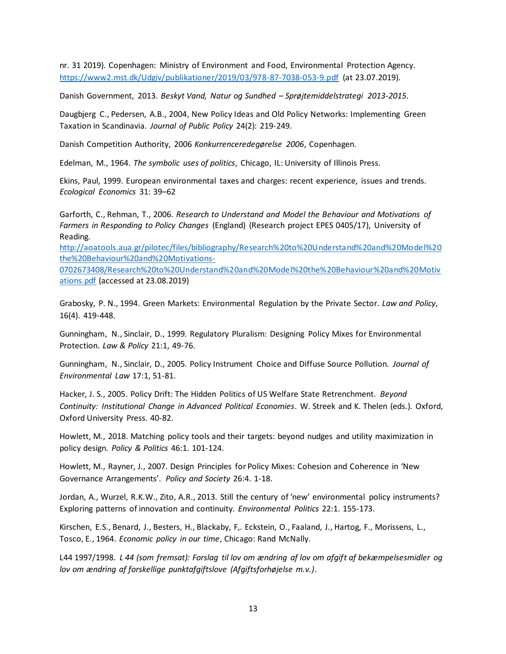nr. 31 2019). Copenhagen: Ministry of Environment and Food, Environmental Protection Agency. <https://www2.mst.dk/Udgiv/publikationer/2019/03/978-87-7038-053-9.pdf> (at 23.07.2019).

Danish Government, 2013. *Beskyt Vand, Natur og Sundhed – Sprøjtemiddelstrategi 2013-2015*.

Daugbjerg C., Pedersen, A.B., 2004, New Policy Ideas and Old Policy Networks: Implementing Green Taxation in Scandinavia. *Journal of Public Policy* 24(2): 219-249.

Danish Competition Authority, 2006 *Konkurrenceredegørelse 2006*, Copenhagen.

Edelman, M., 1964. *The symbolic uses of politics*, Chicago, IL: University of Illinois Press.

Ekins, Paul, 1999. European environmental taxes and charges: recent experience, issues and trends. *Ecological Economics* 31: 39–62

Garforth, C., Rehman, T., 2006. *Research to Understand and Model the Behaviour and Motivations of Farmers in Responding to Policy Changes* (England) (Research project EPES 0405/17), University of Reading.

[http://aoatools.aua.gr/pilotec/files/bibliography/Research%20to%20Understand%20and%20Model%20](http://aoatools.aua.gr/pilotec/files/bibliography/Research%20to%20Understand%20and%20Model%20the%20Behaviour%20and%20Motivations-0702673408/Research%20to%20Understand%20and%20Model%20the%20Behaviour%20and%20Motivations.pdf) [the%20Behaviour%20and%20Motivations-](http://aoatools.aua.gr/pilotec/files/bibliography/Research%20to%20Understand%20and%20Model%20the%20Behaviour%20and%20Motivations-0702673408/Research%20to%20Understand%20and%20Model%20the%20Behaviour%20and%20Motivations.pdf)

[0702673408/Research%20to%20Understand%20and%20Model%20the%20Behaviour%20and%20Motiv](http://aoatools.aua.gr/pilotec/files/bibliography/Research%20to%20Understand%20and%20Model%20the%20Behaviour%20and%20Motivations-0702673408/Research%20to%20Understand%20and%20Model%20the%20Behaviour%20and%20Motivations.pdf) [ations.pdf](http://aoatools.aua.gr/pilotec/files/bibliography/Research%20to%20Understand%20and%20Model%20the%20Behaviour%20and%20Motivations-0702673408/Research%20to%20Understand%20and%20Model%20the%20Behaviour%20and%20Motivations.pdf) (accessed at 23.08.2019)

Grabosky, P. N., 1994. Green Markets: Environmental Regulation by the Private Sector. *Law and Policy*, 16(4). 419-448.

Gunningham, N., Sinclair, D., 1999. Regulatory Pluralism: Designing Policy Mixes for Environmental Protection. *Law & Policy* 21:1, 49-76.

Gunningham, N., Sinclair, D., 2005. Policy Instrument Choice and Diffuse Source Pollution. *Journal of Environmental Law* 17:1, 51-81.

Hacker, J. S., 2005. Policy Drift: The Hidden Politics of US Welfare State Retrenchment. *Beyond Continuity: Institutional Change in Advanced Political Economies*. W. Streek and K. Thelen (eds.). Oxford, Oxford University Press. 40-82.

Howlett, M., 2018. Matching policy tools and their targets: beyond nudges and utility maximization in policy design. *Policy & Politics* 46:1. 101-124.

Howlett, M., Rayner, J., 2007. Design Principles for Policy Mixes: Cohesion and Coherence in 'New Governance Arrangements'. *Policy and Society* 26:4. 1-18.

Jordan, A., Wurzel, R.K.W., Zito, A.R., 2013. Still the century of 'new' environmental policy instruments? Exploring patterns of innovation and continuity. *Environmental Politics* 22:1. 155-173.

Kirschen, E.S., Benard, J., Besters, H., Blackaby, F,. Eckstein, O., Faaland, J., Hartog, F., Morissens, L., Tosco, E., 1964. *Economic policy in our time*, Chicago: Rand McNally.

L44 1997/1998. *L 44 (som fremsat): Forslag til lov om ændring af lov om afgift af bekæmpelsesmidler og lov om ændring af forskellige punktafgiftslove (Afgiftsforhøjelse m.v.)*.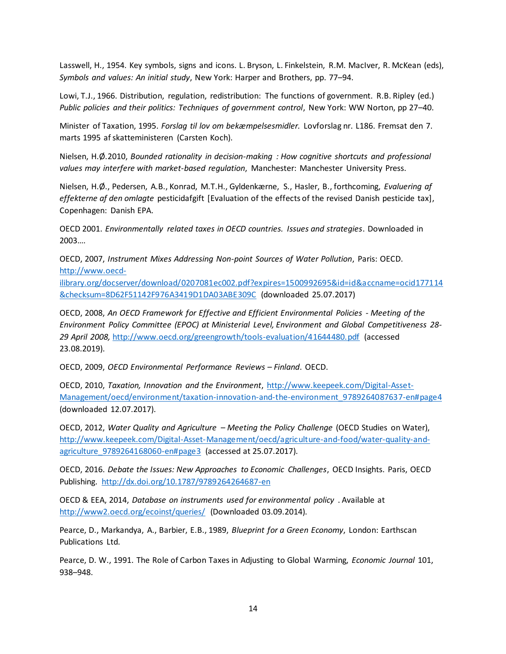Lasswell, H., 1954. Key symbols, signs and icons. L. Bryson, L. Finkelstein, R.M. MacIver, R. McKean (eds), *Symbols and values: An initial study*, New York: Harper and Brothers, pp. 77–94.

Lowi, T.J., 1966. Distribution, regulation, redistribution: The functions of government. R.B. Ripley (ed.) *Public policies and their politics: Techniques of government control*, New York: WW Norton, pp 27–40.

Minister of Taxation, 1995. *Forslag til lov om bekæmpelsesmidler.* Lovforslag nr. L186. Fremsat den 7. marts 1995 af skatteministeren (Carsten Koch).

Nielsen, H.Ø.2010, *Bounded rationality in decision-making : How cognitive shortcuts and professional values may interfere with market-based regulation*, Manchester: Manchester University Press.

Nielsen, H.Ø., Pedersen, A.B., Konrad, M.T.H., Gyldenkærne, S., Hasler, B., forthcoming, *Evaluering af effekterne af den omlagte* pesticidafgift [Evaluation of the effects of the revised Danish pesticide tax], Copenhagen: Danish EPA.

OECD 2001. *Environmentally related taxes in OECD countries. Issues and strategies*. Downloaded in 2003….

OECD, 2007, *Instrument Mixes Addressing Non-point Sources of Water Pollution*, Paris: OECD. [http://www.oecd-](http://www.oecd-ilibrary.org/docserver/download/0207081ec002.pdf?expires=1500992695&id=id&accname=ocid177114&checksum=8D62F51142F976A3419D1DA03ABE309C)

[ilibrary.org/docserver/download/0207081ec002.pdf?expires=1500992695&id=id&accname=ocid177114](http://www.oecd-ilibrary.org/docserver/download/0207081ec002.pdf?expires=1500992695&id=id&accname=ocid177114&checksum=8D62F51142F976A3419D1DA03ABE309C) [&checksum=8D62F51142F976A3419D1DA03ABE309C](http://www.oecd-ilibrary.org/docserver/download/0207081ec002.pdf?expires=1500992695&id=id&accname=ocid177114&checksum=8D62F51142F976A3419D1DA03ABE309C) (downloaded 25.07.2017)

OECD, 2008, *An OECD Framework for Effective and Efficient Environmental Policies - Meeting of the Environment Policy Committee (EPOC) at Ministerial Level, Environment and Global Competitiveness 28- 29 April 2008,* <http://www.oecd.org/greengrowth/tools-evaluation/41644480.pdf> (accessed 23.08.2019).

OECD, 2009, *OECD Environmental Performance Reviews – Finland*. OECD.

OECD, 2010, *Taxation, Innovation and the Environment*, [http://www.keepeek.com/Digital-Asset-](http://www.keepeek.com/Digital-Asset-Management/oecd/environment/taxation-innovation-and-the-environment_9789264087637-en#page4)[Management/oecd/environment/taxation-innovation-and-the-environment\\_9789264087637-en#page4](http://www.keepeek.com/Digital-Asset-Management/oecd/environment/taxation-innovation-and-the-environment_9789264087637-en#page4) (downloaded 12.07.2017).

OECD, 2012, *Water Quality and Agriculture – Meeting the Policy Challenge* (OECD Studies on Water), [http://www.keepeek.com/Digital-Asset-Management/oecd/agriculture-and-food/water-quality-and](http://www.keepeek.com/Digital-Asset-Management/oecd/agriculture-and-food/water-quality-and-agriculture_9789264168060-en#page3)[agriculture\\_9789264168060-en#page3](http://www.keepeek.com/Digital-Asset-Management/oecd/agriculture-and-food/water-quality-and-agriculture_9789264168060-en#page3) (accessed at 25.07.2017).

OECD, 2016. *Debate the Issues: New Approaches to Economic Challenges*, OECD Insights. Paris, OECD Publishing. <http://dx.doi.org/10.1787/9789264264687-en>

OECD & EEA, 2014, *Database on instruments used for environmental policy* . Available at <http://www2.oecd.org/ecoinst/queries/> (Downloaded 03.09.2014).

Pearce, D., Markandya, A., Barbier, E.B., 1989, *Blueprint for a Green Economy*, London: Earthscan Publications Ltd.

Pearce, D. W., 1991. The Role of Carbon Taxes in Adjusting to Global Warming, *Economic Journal* 101, 938–948.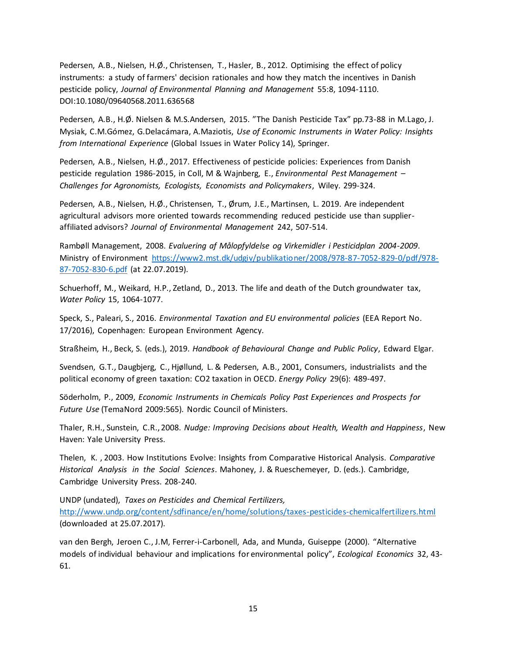Pedersen, A.B., Nielsen, H.Ø., Christensen, T., Hasler, B., 2012. Optimising the effect of policy instruments: a study of farmers' decision rationales and how they match the incentives in Danish pesticide policy, *Journal of Environmental Planning and Management* 55:8, 1094-1110. DOI:10.1080/09640568.2011.636568

Pedersen, A.B., H.Ø. Nielsen & M.S.Andersen, 2015. "The Danish Pesticide Tax" pp.73-88 in M.Lago, J. Mysiak, C.M.Gómez, G.Delacámara, A.Maziotis, *Use of Economic Instruments in Water Policy: Insights from International Experience* (Global Issues in Water Policy 14), Springer.

Pedersen, A.B., Nielsen, H.Ø., 2017. Effectiveness of pesticide policies: Experiences from Danish pesticide regulation 1986-2015, in Coll, M & Wajnberg, E., *Environmental Pest Management – Challenges for Agronomists, Ecologists, Economists and Policymakers*, Wiley. 299-324.

Pedersen, A.B., Nielsen, H.Ø., Christensen, T., Ørum, J.E., Martinsen, L. 2019. Are independent agricultural advisors more oriented towards recommending reduced pesticide use than supplieraffiliated advisors? *Journal of Environmental Management* 242, 507-514.

Rambøll Management, 2008. *Evaluering af Målopfyldelse og Virkemidler i Pesticidplan 2004-2009*. Ministry of Environment [https://www2.mst.dk/udgiv/publikationer/2008/978-87-7052-829-0/pdf/978-](https://www2.mst.dk/udgiv/publikationer/2008/978-87-7052-829-0/pdf/978-87-7052-830-6.pdf) [87-7052-830-6.pdf](https://www2.mst.dk/udgiv/publikationer/2008/978-87-7052-829-0/pdf/978-87-7052-830-6.pdf) (at 22.07.2019).

Schuerhoff, M., Weikard, H.P., Zetland, D., 2013. The life and death of the Dutch groundwater tax, *Water Policy* 15, 1064-1077.

Speck, S., Paleari, S., 2016. *Environmental Taxation and EU environmental policies* (EEA Report No. 17/2016), Copenhagen: European Environment Agency.

Straßheim, H., Beck, S. (eds.), 2019. *Handbook of Behavioural Change and Public Policy*, Edward Elgar.

Svendsen, G.T., Daugbjerg, C., Hjøllund, L. & Pedersen, A.B., 2001, Consumers, industrialists and the political economy of green taxation: CO2 taxation in OECD. *Energy Policy* 29(6): 489-497.

Söderholm, P., 2009, *Economic Instruments in Chemicals Policy Past Experiences and Prospects for Future Use* (TemaNord 2009:565). Nordic Council of Ministers.

Thaler, R.H., Sunstein, C.R., 2008. *Nudge: Improving Decisions about Health, Wealth and Happiness*, New Haven: Yale University Press.

Thelen, K. , 2003. How Institutions Evolve: Insights from Comparative Historical Analysis. *Comparative Historical Analysis in the Social Sciences*. Mahoney, J. & Rueschemeyer, D. (eds.). Cambridge, Cambridge University Press. 208-240.

UNDP (undated), *Taxes on Pesticides and Chemical Fertilizers,* <http://www.undp.org/content/sdfinance/en/home/solutions/taxes-pesticides-chemicalfertilizers.html> (downloaded at 25.07.2017).

van den Bergh, Jeroen C., J.M, Ferrer-i-Carbonell, Ada, and Munda, Guiseppe (2000). "Alternative models of individual behaviour and implications for environmental policy", *Ecological Economics* 32, 43- 61.